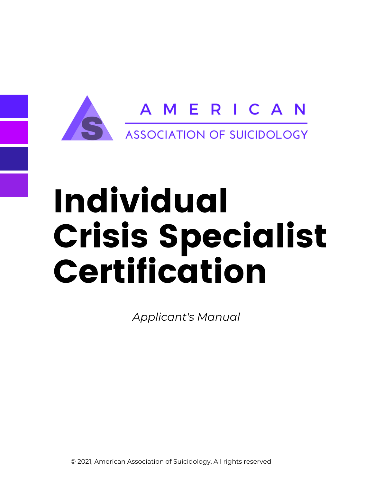

# Individual Crisis Specialist Certification

*Applicant's Manual*

© 2021, American Association of Suicidology, All rights reserved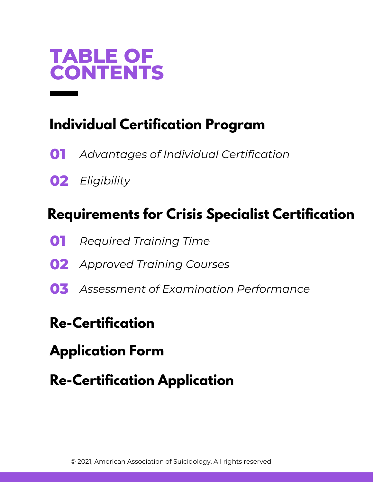

## **Individual Certification Program**

- **01** *Advantages of Individual [Certification](https://docs.google.com/document/d/1pupBdRsnNgavwp_LM0WOWeDeq-Pnjz4T/edit#heading=h.1fob9te)*
- **02** *[Eligibility](https://docs.google.com/document/d/1pupBdRsnNgavwp_LM0WOWeDeq-Pnjz4T/edit#heading=h.1fob9te)*

## **[R](https://docs.google.com/document/d/1pupBdRsnNgavwp_LM0WOWeDeq-Pnjz4T/edit#heading=h.2et92p0)equirements for Crisis Specialist Certification**

- **01** *[Required](https://docs.google.com/document/d/1pupBdRsnNgavwp_LM0WOWeDeq-Pnjz4T/edit#heading=h.1fob9te) Training Tim[e](https://docs.google.com/document/d/1pupBdRsnNgavwp_LM0WOWeDeq-Pnjz4T/edit#heading=h.1fob9te)*
- **02** *[Approved](https://docs.google.com/document/d/1pupBdRsnNgavwp_LM0WOWeDeq-Pnjz4T/edit#heading=h.1fob9te) Training Course[s](https://docs.google.com/document/d/1pupBdRsnNgavwp_LM0WOWeDeq-Pnjz4T/edit#heading=h.1fob9te)*
- **03** *Assessment of Examination [Performance](https://docs.google.com/document/d/1pupBdRsnNgavwp_LM0WOWeDeq-Pnjz4T/edit#heading=h.1fob9te)*

## **[R](https://docs.google.com/document/d/1pupBdRsnNgavwp_LM0WOWeDeq-Pnjz4T/edit#heading=h.2et92p0)e-Certification**

- **Application Form**
- **Re-Certification Application**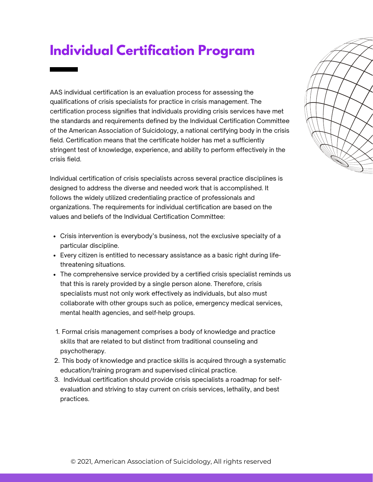## **Individual Certification Program**

AAS individual certification is an evaluation process for assessing the qualifications of crisis specialists for practice in crisis management. The certification process signifies that individuals providing crisis services have met the standards and requirements defined by the Individual Certification Committee of the American Association of Suicidology, a national certifying body in the crisis field. Certification means that the certificate holder has met a sufficiently stringent test of knowledge, experience, and ability to perform effectively in the crisis field.

Individual certification of crisis specialists across several practice disciplines is designed to address the diverse and needed work that is accomplished. It follows the widely utilized credentialing practice of professionals and organizations. The requirements for individual certification are based on the values and beliefs of the Individual Certification Committee:

- Crisis intervention is everybody's business, not the exclusive specialty of a particular discipline.
- Every citizen is entitled to necessary assistance as a basic right during lifethreatening situations.
- The comprehensive service provided by a certified crisis specialist reminds us that this is rarely provided by a single person alone. Therefore, crisis specialists must not only work effectively as individuals, but also must collaborate with other groups such as police, emergency medical services, mental health agencies, and self-help groups.
- 1. Formal crisis management comprises a body of knowledge and practice skills that are related to but distinct from traditional counseling and psychotherapy.
- 2. This body of knowledge and practice skills is acquired through a systematic education/training program and supervised clinical practice.
- 3. Individual certification should provide crisis specialists a roadmap for selfevaluation and striving to stay current on crisis services, lethality, and best practices.

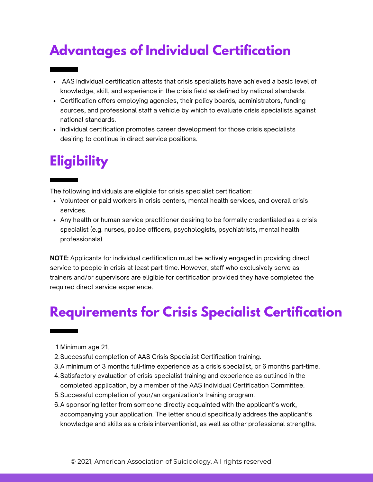# **Advantages of Individual Certification**

- AAS individual certification attests that crisis specialists have achieved a basic level of knowledge, skill, and experience in the crisis field as defined by national standards.
- Certification offers employing agencies, their policy boards, administrators, funding sources, and professional staff a vehicle by which to evaluate crisis specialists against national standards.
- Individual certification promotes career development for those crisis specialists desiring to continue in direct service positions.

# **Eligibility**

The following individuals are eligible for crisis specialist certification:

- Volunteer or paid workers in crisis centers, mental health services, and overall crisis services.
- Any health or human service practitioner desiring to be formally credentialed as a crisis specialist (e.g. nurses, police officers, psychologists, psychiatrists, mental health professionals).

**NOTE:** Applicants for individual certification must be actively engaged in providing direct service to people in crisis at least part-time. However, staff who exclusively serve as trainers and/or supervisors are eligible for certification provided they have completed the required direct service experience.

# **Requirements for Crisis Specialist Certification**

- Minimum age 21. 1.
- 2. Successful completion of AAS Crisis Specialist Certification training.
- A minimum of 3 months full-time experience as a crisis specialist, or 6 months part-time. 3.
- Satisfactory evaluation of crisis specialist training and experience as outlined in the 4. completed application, by a member of the AAS Individual Certification Committee.
- Successful completion of your/an organization's training program. 5.
- A sponsoring letter from someone directly acquainted with the applicant's work, 6. accompanying your application. The letter should specifically address the applicant's knowledge and skills as a crisis interventionist, as well as other professional strengths.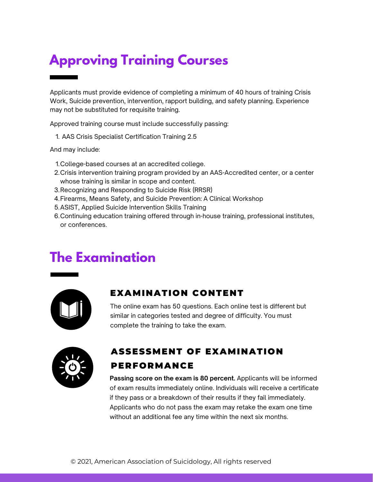# **Approving Training Courses**

Applicants must provide evidence of completing a minimum of 40 hours of training Crisis Work, Suicide prevention, intervention, rapport building, and safety planning. Experience may not be substituted for requisite training.

Approved training course must include successfully passing:

AAS Crisis Specialist Certification Training 2.5 1.

And may include:

- College-based courses at an accredited college. 1.
- Crisis intervention training program provided by an AAS-Accredited center, or a center 2. whose training is similar in scope and content.
- 3.Recognizing and Responding to Suicide Risk (RRSR)
- Firearms, Means Safety, and Suicide Prevention: A Clinical Workshop 4.
- 5.ASIST, Applied Suicide Intervention Skills Training
- Continuing education training offered through in-house training, professional institutes, 6. or conferences.

## **The Examination**



#### EXAMINATION CONTENT

The online exam has 50 questions. Each online test is different but similar in categories tested and degree of difficulty. You must complete the training to take the exam.



#### ASSESSMENT OF EXAMINATION PERFORMANCE

**Passing score on the exam is 80 percent.** Applicants will be informed of exam results immediately online. Individuals will receive a certificate if they pass or a breakdown of their results if they fail immediately. Applicants who do not pass the exam may retake the exam one time without an additional fee any time within the next six months.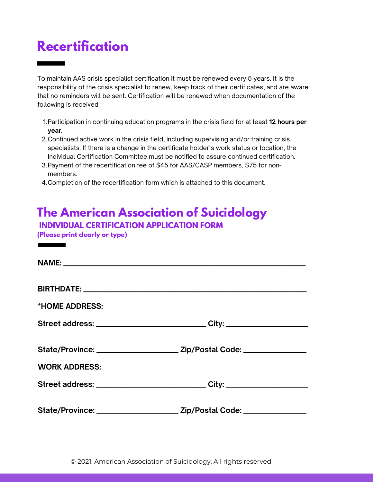### **Recertification**

To maintain AAS crisis specialist certification it must be renewed every 5 years. It is the responsibility of the crisis specialist to renew, keep track of their certificates, and are aware that no reminders will be sent. Certification will be renewed when documentation of the following is received:

- 1.Participation in continuing education programs in the crisis field for at least **12 hours per year.**
- Continued active work in the crisis field, including supervising and/or training crisis 2. specialists. If there is a change in the certificate holder's work status or location, the Individual Certification Committee must be notified to assure continued certification.
- 3.Payment of the recertification fee of \$45 for AAS/CASP members, \$75 for nonmembers.
- Completion of the recertification form which is attached to this document. 4.

#### **The American Association of Suicidology**

**INDIVIDUAL CERTIFICATION APPLICATION FORM**

**(Please print clearly or type)**

| *HOME ADDRESS:       |                                                                                  |
|----------------------|----------------------------------------------------------------------------------|
|                      | Street address: _______________________________City: ___________________________ |
|                      |                                                                                  |
| <b>WORK ADDRESS:</b> |                                                                                  |
|                      | Street address: _______________________________City: ___________________________ |
|                      |                                                                                  |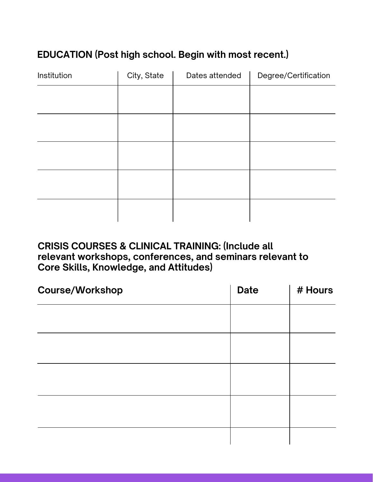#### **EDUCATION (Post high school. Begin with most recent.)**

| Institution | City, State | Dates attended | Degree/Certification |
|-------------|-------------|----------------|----------------------|
|             |             |                |                      |
|             |             |                |                      |
|             |             |                |                      |
|             |             |                |                      |
|             |             |                |                      |
|             |             |                |                      |
|             |             |                |                      |
|             |             |                |                      |
|             |             |                |                      |
|             |             |                |                      |

#### **CRISIS COURSES & CLINICAL TRAINING: (Include all relevant workshops, conferences, and seminars relevant to Core Skills, Knowledge, and Attitudes)**

| <b>Course/Workshop</b> | <b>Date</b> | # Hours |
|------------------------|-------------|---------|
|                        |             |         |
|                        |             |         |
|                        |             |         |
|                        |             |         |
|                        |             |         |
|                        |             |         |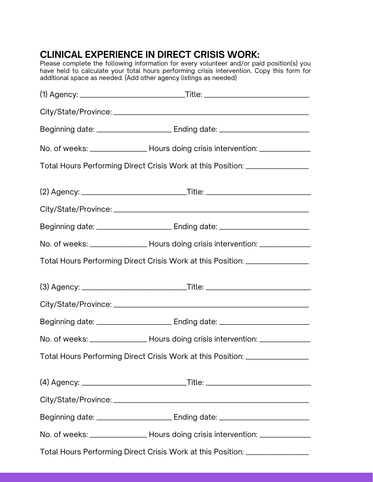#### **CLINICAL EXPERIENCE IN DIRECT CRISIS WORK:**

Please complete the following information for every volunteer and/or paid position(s) you have held to calculate your total hours performing crisis intervention. Copy this form for additional space as needed. (Add other agency listings as needed)

| Total Hours Performing Direct Crisis Work at this Position: ____________________        |  |
|-----------------------------------------------------------------------------------------|--|
|                                                                                         |  |
|                                                                                         |  |
|                                                                                         |  |
| No. of weeks: _________________________ Hours doing crisis intervention: ______________ |  |
| Total Hours Performing Direct Crisis Work at this Position: ____________________        |  |
|                                                                                         |  |
|                                                                                         |  |
|                                                                                         |  |
| No. of weeks: __________________________Hours doing crisis intervention: ______________ |  |
| Total Hours Performing Direct Crisis Work at this Position: _______________             |  |
|                                                                                         |  |
|                                                                                         |  |
|                                                                                         |  |
| No. of weeks: ________________________ Hours doing crisis intervention: _______________ |  |
| Total Hours Performing Direct Crisis Work at this Position: ____________________        |  |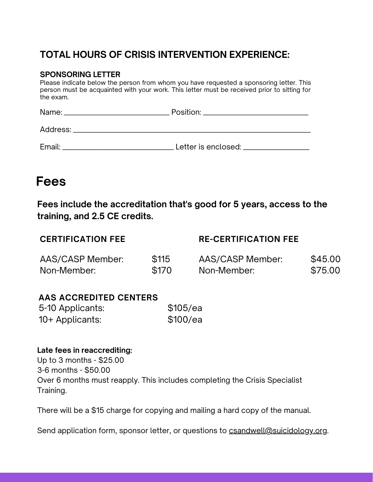#### **TOTAL HOURS OF CRISIS INTERVENTION EXPERIENCE:**

#### **SPONSORING LETTER**

Please indicate below the person from whom you have requested a sponsoring letter. This person must be acquainted with your work. This letter must be received prior to sitting for the exam.

|        | Position: ___________________________ |
|--------|---------------------------------------|
|        |                                       |
| Email: | Letter is enclosed: ________________  |

#### **Fees**

**Fees include the accreditation that's good for 5 years, access to the training, and 2.5 CE credits.**

| <b>CERTIFICATION FEE</b> |       | <b>RE-CERTIFICATION FEE</b> |         |
|--------------------------|-------|-----------------------------|---------|
| AAS/CASP Member:         | \$115 | AAS/CASP Member:            | \$45.00 |
| Non-Member:              | \$170 | Non-Member:                 | \$75.00 |

#### **AAS ACCREDITED CENTERS**

| 5-10 Applicants: | \$105/ea |
|------------------|----------|
| 10+ Applicants:  | \$100/ea |

#### **Late fees in reaccrediting:**

Up to 3 months - \$25.00 3-6 months - \$50.00 Over 6 months must reapply. This includes completing the Crisis Specialist Training.

There will be a \$15 charge for copying and mailing a hard copy of the manual.

Send application form, sponsor letter, or questions to [csandwell@suicidology.org](mailto:csandwell@suicidology.org).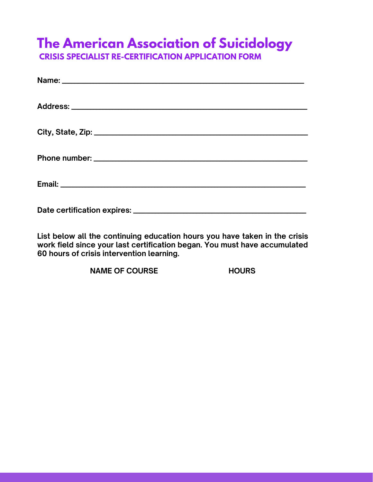## **The American Association of Suicidology**

**CRISIS SPECIALIST RE-CERTIFICATION APPLICATION FORM**

**List below all the continuing education hours you have taken in the crisis work field since your last certification began. You must have accumulated 60 hours of crisis intervention learning.**

**NAME OF COURSE HOURS**